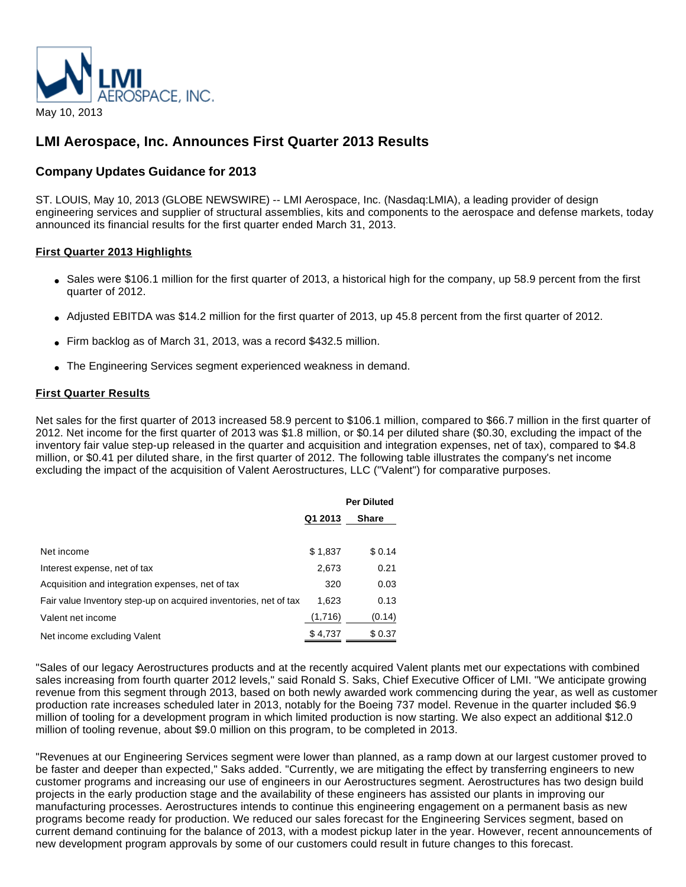

# **LMI Aerospace, Inc. Announces First Quarter 2013 Results**

# **Company Updates Guidance for 2013**

ST. LOUIS, May 10, 2013 (GLOBE NEWSWIRE) -- LMI Aerospace, Inc. (Nasdaq:LMIA), a leading provider of design engineering services and supplier of structural assemblies, kits and components to the aerospace and defense markets, today announced its financial results for the first quarter ended March 31, 2013.

# **First Quarter 2013 Highlights**

- Sales were \$106.1 million for the first quarter of 2013, a historical high for the company, up 58.9 percent from the first quarter of 2012.
- Adjusted EBITDA was \$14.2 million for the first quarter of 2013, up 45.8 percent from the first quarter of 2012.
- Firm backlog as of March 31, 2013, was a record \$432.5 million.
- The Engineering Services segment experienced weakness in demand.

# **First Quarter Results**

Net sales for the first quarter of 2013 increased 58.9 percent to \$106.1 million, compared to \$66.7 million in the first quarter of 2012. Net income for the first quarter of 2013 was \$1.8 million, or \$0.14 per diluted share (\$0.30, excluding the impact of the inventory fair value step-up released in the quarter and acquisition and integration expenses, net of tax), compared to \$4.8 million, or \$0.41 per diluted share, in the first quarter of 2012. The following table illustrates the company's net income excluding the impact of the acquisition of Valent Aerostructures, LLC ("Valent") for comparative purposes.

|                                                                  |         | <b>Per Diluted</b> |
|------------------------------------------------------------------|---------|--------------------|
|                                                                  | Q1 2013 | <b>Share</b>       |
|                                                                  |         |                    |
| Net income                                                       | \$1,837 | \$0.14             |
| Interest expense, net of tax                                     | 2,673   | 0.21               |
| Acquisition and integration expenses, net of tax                 | 320     | 0.03               |
| Fair value Inventory step-up on acquired inventories, net of tax | 1,623   | 0.13               |
| Valent net income                                                | (1,716) | (0.14)             |
| Net income excluding Valent                                      | \$4,737 | \$0.37             |

"Sales of our legacy Aerostructures products and at the recently acquired Valent plants met our expectations with combined sales increasing from fourth quarter 2012 levels," said Ronald S. Saks, Chief Executive Officer of LMI. "We anticipate growing revenue from this segment through 2013, based on both newly awarded work commencing during the year, as well as customer production rate increases scheduled later in 2013, notably for the Boeing 737 model. Revenue in the quarter included \$6.9 million of tooling for a development program in which limited production is now starting. We also expect an additional \$12.0 million of tooling revenue, about \$9.0 million on this program, to be completed in 2013.

"Revenues at our Engineering Services segment were lower than planned, as a ramp down at our largest customer proved to be faster and deeper than expected," Saks added. "Currently, we are mitigating the effect by transferring engineers to new customer programs and increasing our use of engineers in our Aerostructures segment. Aerostructures has two design build projects in the early production stage and the availability of these engineers has assisted our plants in improving our manufacturing processes. Aerostructures intends to continue this engineering engagement on a permanent basis as new programs become ready for production. We reduced our sales forecast for the Engineering Services segment, based on current demand continuing for the balance of 2013, with a modest pickup later in the year. However, recent announcements of new development program approvals by some of our customers could result in future changes to this forecast.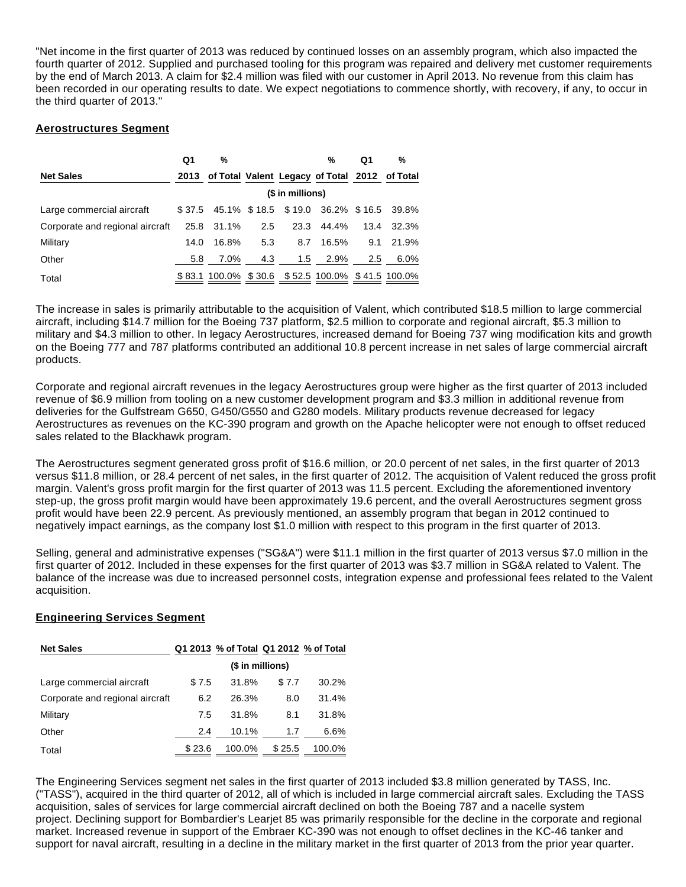"Net income in the first quarter of 2013 was reduced by continued losses on an assembly program, which also impacted the fourth quarter of 2012. Supplied and purchased tooling for this program was repaired and delivery met customer requirements by the end of March 2013. A claim for \$2.4 million was filed with our customer in April 2013. No revenue from this claim has been recorded in our operating results to date. We expect negotiations to commence shortly, with recovery, if any, to occur in the third quarter of 2013."

# **Aerostructures Segment**

|                                 | Q1   | %          |     |                  | %                                                  | Q1            | $\%$       |
|---------------------------------|------|------------|-----|------------------|----------------------------------------------------|---------------|------------|
| <b>Net Sales</b>                |      |            |     |                  | 2013 of Total Valent Legacy of Total 2012 of Total |               |            |
|                                 |      |            |     | (\$ in millions) |                                                    |               |            |
| Large commercial aircraft       |      |            |     |                  | \$37.5 45.1% \$18.5 \$19.0 36.2% \$16.5 39.8%      |               |            |
| Corporate and regional aircraft |      | 25.8 31.1% | 2.5 |                  | 23.3 44.4%                                         |               | 13.4 32.3% |
| Military                        | 14.0 | 16.8%      | 5.3 | 8.7              | 16.5%                                              | 9.1           | 21.9%      |
| Other                           | 5.8  | 7.0%       | 4.3 | 1.5              | 2.9%                                               | $2.5^{\circ}$ | $6.0\%$    |
| Total                           |      |            |     |                  | \$83.1 100.0% \$30.6 \$52.5 100.0% \$41.5 100.0%   |               |            |

The increase in sales is primarily attributable to the acquisition of Valent, which contributed \$18.5 million to large commercial aircraft, including \$14.7 million for the Boeing 737 platform, \$2.5 million to corporate and regional aircraft, \$5.3 million to military and \$4.3 million to other. In legacy Aerostructures, increased demand for Boeing 737 wing modification kits and growth on the Boeing 777 and 787 platforms contributed an additional 10.8 percent increase in net sales of large commercial aircraft products.

Corporate and regional aircraft revenues in the legacy Aerostructures group were higher as the first quarter of 2013 included revenue of \$6.9 million from tooling on a new customer development program and \$3.3 million in additional revenue from deliveries for the Gulfstream G650, G450/G550 and G280 models. Military products revenue decreased for legacy Aerostructures as revenues on the KC-390 program and growth on the Apache helicopter were not enough to offset reduced sales related to the Blackhawk program.

The Aerostructures segment generated gross profit of \$16.6 million, or 20.0 percent of net sales, in the first quarter of 2013 versus \$11.8 million, or 28.4 percent of net sales, in the first quarter of 2012. The acquisition of Valent reduced the gross profit margin. Valent's gross profit margin for the first quarter of 2013 was 11.5 percent. Excluding the aforementioned inventory step-up, the gross profit margin would have been approximately 19.6 percent, and the overall Aerostructures segment gross profit would have been 22.9 percent. As previously mentioned, an assembly program that began in 2012 continued to negatively impact earnings, as the company lost \$1.0 million with respect to this program in the first quarter of 2013.

Selling, general and administrative expenses ("SG&A") were \$11.1 million in the first quarter of 2013 versus \$7.0 million in the first quarter of 2012. Included in these expenses for the first quarter of 2013 was \$3.7 million in SG&A related to Valent. The balance of the increase was due to increased personnel costs, integration expense and professional fees related to the Valent acquisition.

# **Engineering Services Segment**

| <b>Net Sales</b>                |        | Q1 2013 % of Total Q1 2012 % of Total |        |        |
|---------------------------------|--------|---------------------------------------|--------|--------|
|                                 |        | (\$ in millions)                      |        |        |
| Large commercial aircraft       | \$7.5  | 31.8%                                 | \$7.7  | 30.2%  |
| Corporate and regional aircraft | 6.2    | 26.3%                                 | 8.0    | 31.4%  |
| Military                        | 7.5    | 31.8%                                 | 8.1    | 31.8%  |
| Other                           | 2.4    | 10.1%                                 | 1.7    | 6.6%   |
| Total                           | \$23.6 | 100.0%                                | \$25.5 | 100.0% |

The Engineering Services segment net sales in the first quarter of 2013 included \$3.8 million generated by TASS, Inc. ("TASS"), acquired in the third quarter of 2012, all of which is included in large commercial aircraft sales. Excluding the TASS acquisition, sales of services for large commercial aircraft declined on both the Boeing 787 and a nacelle system project. Declining support for Bombardier's Learjet 85 was primarily responsible for the decline in the corporate and regional market. Increased revenue in support of the Embraer KC-390 was not enough to offset declines in the KC-46 tanker and support for naval aircraft, resulting in a decline in the military market in the first quarter of 2013 from the prior year quarter.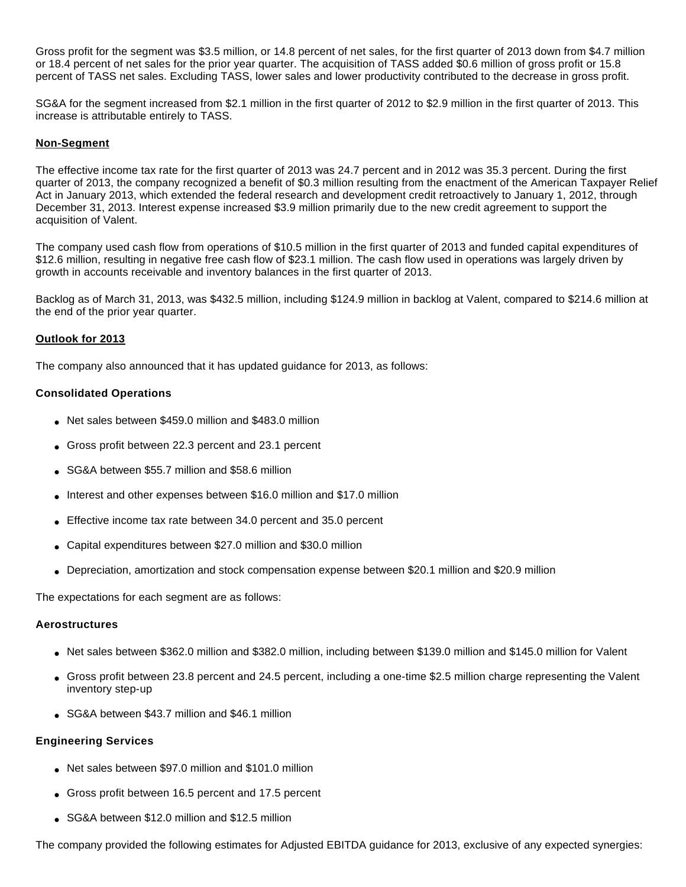Gross profit for the segment was \$3.5 million, or 14.8 percent of net sales, for the first quarter of 2013 down from \$4.7 million or 18.4 percent of net sales for the prior year quarter. The acquisition of TASS added \$0.6 million of gross profit or 15.8 percent of TASS net sales. Excluding TASS, lower sales and lower productivity contributed to the decrease in gross profit.

SG&A for the segment increased from \$2.1 million in the first quarter of 2012 to \$2.9 million in the first quarter of 2013. This increase is attributable entirely to TASS.

#### **Non-Segment**

The effective income tax rate for the first quarter of 2013 was 24.7 percent and in 2012 was 35.3 percent. During the first quarter of 2013, the company recognized a benefit of \$0.3 million resulting from the enactment of the American Taxpayer Relief Act in January 2013, which extended the federal research and development credit retroactively to January 1, 2012, through December 31, 2013. Interest expense increased \$3.9 million primarily due to the new credit agreement to support the acquisition of Valent.

The company used cash flow from operations of \$10.5 million in the first quarter of 2013 and funded capital expenditures of \$12.6 million, resulting in negative free cash flow of \$23.1 million. The cash flow used in operations was largely driven by growth in accounts receivable and inventory balances in the first quarter of 2013.

Backlog as of March 31, 2013, was \$432.5 million, including \$124.9 million in backlog at Valent, compared to \$214.6 million at the end of the prior year quarter.

# **Outlook for 2013**

The company also announced that it has updated guidance for 2013, as follows:

#### **Consolidated Operations**

- Net sales between \$459.0 million and \$483.0 million
- Gross profit between 22.3 percent and 23.1 percent
- SG&A between \$55.7 million and \$58.6 million
- Interest and other expenses between \$16.0 million and \$17.0 million
- Effective income tax rate between 34.0 percent and 35.0 percent
- Capital expenditures between \$27.0 million and \$30.0 million
- Depreciation, amortization and stock compensation expense between \$20.1 million and \$20.9 million

The expectations for each segment are as follows:

#### **Aerostructures**

- Net sales between \$362.0 million and \$382.0 million, including between \$139.0 million and \$145.0 million for Valent
- Gross profit between 23.8 percent and 24.5 percent, including a one-time \$2.5 million charge representing the Valent inventory step-up
- SG&A between \$43.7 million and \$46.1 million

#### **Engineering Services**

- Net sales between \$97.0 million and \$101.0 million
- Gross profit between 16.5 percent and 17.5 percent
- SG&A between \$12.0 million and \$12.5 million

The company provided the following estimates for Adjusted EBITDA guidance for 2013, exclusive of any expected synergies: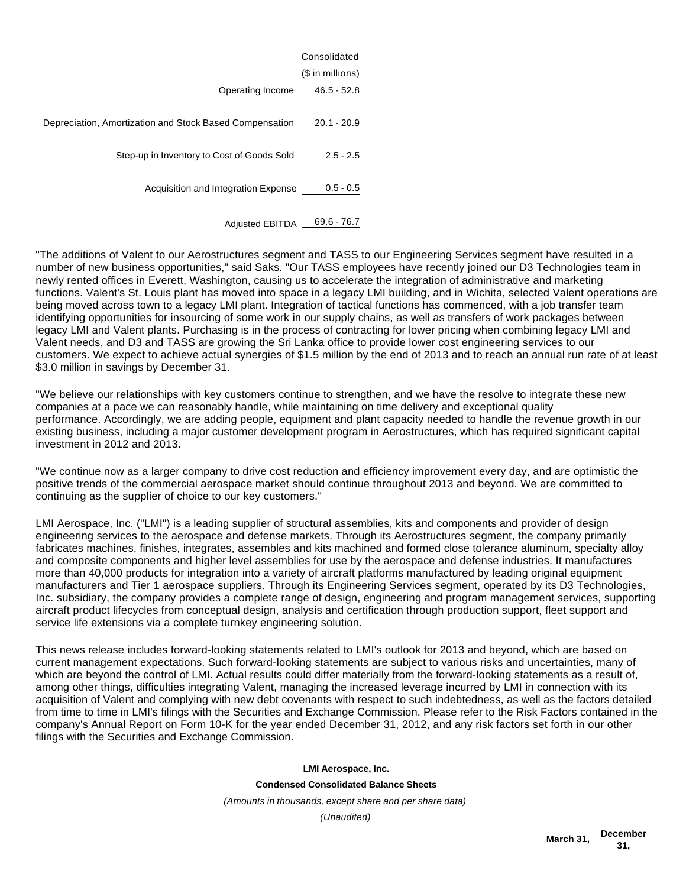|                                                         | Consolidated     |
|---------------------------------------------------------|------------------|
|                                                         | $$$ in millions) |
| Operating Income                                        | $46.5 - 52.8$    |
| Depreciation, Amortization and Stock Based Compensation | $20.1 - 20.9$    |
| Step-up in Inventory to Cost of Goods Sold              | $2.5 - 2.5$      |
| Acquisition and Integration Expense                     | $0.5 - 0.5$      |
| <b>Adjusted EBITDA</b>                                  | $69.6 - 76.7$    |

"The additions of Valent to our Aerostructures segment and TASS to our Engineering Services segment have resulted in a number of new business opportunities," said Saks. "Our TASS employees have recently joined our D3 Technologies team in newly rented offices in Everett, Washington, causing us to accelerate the integration of administrative and marketing functions. Valent's St. Louis plant has moved into space in a legacy LMI building, and in Wichita, selected Valent operations are being moved across town to a legacy LMI plant. Integration of tactical functions has commenced, with a job transfer team identifying opportunities for insourcing of some work in our supply chains, as well as transfers of work packages between legacy LMI and Valent plants. Purchasing is in the process of contracting for lower pricing when combining legacy LMI and Valent needs, and D3 and TASS are growing the Sri Lanka office to provide lower cost engineering services to our customers. We expect to achieve actual synergies of \$1.5 million by the end of 2013 and to reach an annual run rate of at least \$3.0 million in savings by December 31.

"We believe our relationships with key customers continue to strengthen, and we have the resolve to integrate these new companies at a pace we can reasonably handle, while maintaining on time delivery and exceptional quality performance. Accordingly, we are adding people, equipment and plant capacity needed to handle the revenue growth in our existing business, including a major customer development program in Aerostructures, which has required significant capital investment in 2012 and 2013.

"We continue now as a larger company to drive cost reduction and efficiency improvement every day, and are optimistic the positive trends of the commercial aerospace market should continue throughout 2013 and beyond. We are committed to continuing as the supplier of choice to our key customers."

LMI Aerospace, Inc. ("LMI") is a leading supplier of structural assemblies, kits and components and provider of design engineering services to the aerospace and defense markets. Through its Aerostructures segment, the company primarily fabricates machines, finishes, integrates, assembles and kits machined and formed close tolerance aluminum, specialty alloy and composite components and higher level assemblies for use by the aerospace and defense industries. It manufactures more than 40,000 products for integration into a variety of aircraft platforms manufactured by leading original equipment manufacturers and Tier 1 aerospace suppliers. Through its Engineering Services segment, operated by its D3 Technologies, Inc. subsidiary, the company provides a complete range of design, engineering and program management services, supporting aircraft product lifecycles from conceptual design, analysis and certification through production support, fleet support and service life extensions via a complete turnkey engineering solution.

This news release includes forward-looking statements related to LMI's outlook for 2013 and beyond, which are based on current management expectations. Such forward-looking statements are subject to various risks and uncertainties, many of which are beyond the control of LMI. Actual results could differ materially from the forward-looking statements as a result of, among other things, difficulties integrating Valent, managing the increased leverage incurred by LMI in connection with its acquisition of Valent and complying with new debt covenants with respect to such indebtedness, as well as the factors detailed from time to time in LMI's filings with the Securities and Exchange Commission. Please refer to the Risk Factors contained in the company's Annual Report on Form 10-K for the year ended December 31, 2012, and any risk factors set forth in our other filings with the Securities and Exchange Commission.

**LMI Aerospace, Inc.**

**Condensed Consolidated Balance Sheets**

(Amounts in thousands, except share and per share data)

(Unaudited)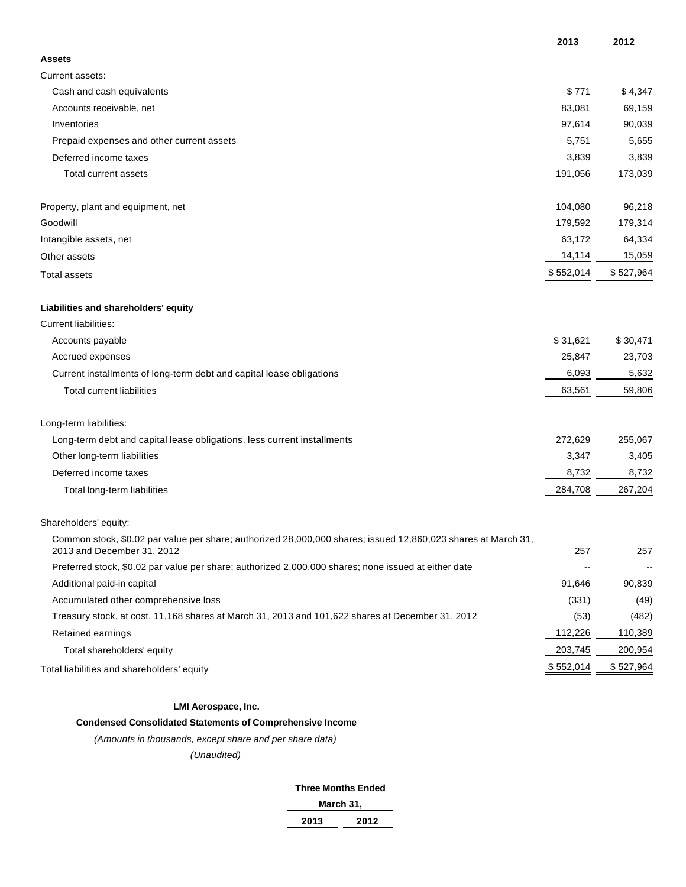| \$771<br>Cash and cash equivalents<br>\$4,347<br>83,081<br>69,159<br>Accounts receivable, net<br>97,614<br>90,039<br>Inventories<br>Prepaid expenses and other current assets<br>5,751<br>5,655<br>3,839<br>3,839<br>Deferred income taxes<br>173,039<br><b>Total current assets</b><br>191,056<br>104,080<br>96,218<br>179,592<br>179,314<br>63,172<br>64,334<br>14,114<br>15,059<br>\$527,964<br>\$552,014<br>\$31,621<br>\$30,471<br>Accounts payable<br>25,847<br>23,703<br>Accrued expenses<br>6,093<br>5,632<br>Current installments of long-term debt and capital lease obligations<br>63,561<br>59,806<br><b>Total current liabilities</b><br>272,629<br>255,067<br>Long-term debt and capital lease obligations, less current installments<br>Other long-term liabilities<br>3,347<br>3,405<br>8,732<br>8,732<br>Deferred income taxes<br>284,708<br>267,204<br>Total long-term liabilities<br>Common stock, \$0.02 par value per share; authorized 28,000,000 shares; issued 12,860,023 shares at March 31,<br>257<br>2013 and December 31, 2012<br>257<br>Preferred stock, \$0.02 par value per share; authorized 2,000,000 shares; none issued at either date<br>$\overline{\phantom{a}}$<br>$\overline{\phantom{a}}$<br>Additional paid-in capital<br>91,646<br>90,839<br>Accumulated other comprehensive loss<br>(331)<br>(49)<br>Treasury stock, at cost, 11,168 shares at March 31, 2013 and 101,622 shares at December 31, 2012<br>(53)<br>(482)<br>112,226<br>110,389<br>Retained earnings<br>203,745<br>200,954<br>Total shareholders' equity<br>\$552,014<br>\$527,964 |                                            | 2013 | 2012 |
|--------------------------------------------------------------------------------------------------------------------------------------------------------------------------------------------------------------------------------------------------------------------------------------------------------------------------------------------------------------------------------------------------------------------------------------------------------------------------------------------------------------------------------------------------------------------------------------------------------------------------------------------------------------------------------------------------------------------------------------------------------------------------------------------------------------------------------------------------------------------------------------------------------------------------------------------------------------------------------------------------------------------------------------------------------------------------------------------------------------------------------------------------------------------------------------------------------------------------------------------------------------------------------------------------------------------------------------------------------------------------------------------------------------------------------------------------------------------------------------------------------------------------------------------------------------------------------------------|--------------------------------------------|------|------|
|                                                                                                                                                                                                                                                                                                                                                                                                                                                                                                                                                                                                                                                                                                                                                                                                                                                                                                                                                                                                                                                                                                                                                                                                                                                                                                                                                                                                                                                                                                                                                                                            | <b>Assets</b>                              |      |      |
|                                                                                                                                                                                                                                                                                                                                                                                                                                                                                                                                                                                                                                                                                                                                                                                                                                                                                                                                                                                                                                                                                                                                                                                                                                                                                                                                                                                                                                                                                                                                                                                            | Current assets:                            |      |      |
|                                                                                                                                                                                                                                                                                                                                                                                                                                                                                                                                                                                                                                                                                                                                                                                                                                                                                                                                                                                                                                                                                                                                                                                                                                                                                                                                                                                                                                                                                                                                                                                            |                                            |      |      |
|                                                                                                                                                                                                                                                                                                                                                                                                                                                                                                                                                                                                                                                                                                                                                                                                                                                                                                                                                                                                                                                                                                                                                                                                                                                                                                                                                                                                                                                                                                                                                                                            |                                            |      |      |
|                                                                                                                                                                                                                                                                                                                                                                                                                                                                                                                                                                                                                                                                                                                                                                                                                                                                                                                                                                                                                                                                                                                                                                                                                                                                                                                                                                                                                                                                                                                                                                                            |                                            |      |      |
|                                                                                                                                                                                                                                                                                                                                                                                                                                                                                                                                                                                                                                                                                                                                                                                                                                                                                                                                                                                                                                                                                                                                                                                                                                                                                                                                                                                                                                                                                                                                                                                            |                                            |      |      |
|                                                                                                                                                                                                                                                                                                                                                                                                                                                                                                                                                                                                                                                                                                                                                                                                                                                                                                                                                                                                                                                                                                                                                                                                                                                                                                                                                                                                                                                                                                                                                                                            |                                            |      |      |
|                                                                                                                                                                                                                                                                                                                                                                                                                                                                                                                                                                                                                                                                                                                                                                                                                                                                                                                                                                                                                                                                                                                                                                                                                                                                                                                                                                                                                                                                                                                                                                                            |                                            |      |      |
|                                                                                                                                                                                                                                                                                                                                                                                                                                                                                                                                                                                                                                                                                                                                                                                                                                                                                                                                                                                                                                                                                                                                                                                                                                                                                                                                                                                                                                                                                                                                                                                            | Property, plant and equipment, net         |      |      |
|                                                                                                                                                                                                                                                                                                                                                                                                                                                                                                                                                                                                                                                                                                                                                                                                                                                                                                                                                                                                                                                                                                                                                                                                                                                                                                                                                                                                                                                                                                                                                                                            | Goodwill                                   |      |      |
|                                                                                                                                                                                                                                                                                                                                                                                                                                                                                                                                                                                                                                                                                                                                                                                                                                                                                                                                                                                                                                                                                                                                                                                                                                                                                                                                                                                                                                                                                                                                                                                            | Intangible assets, net                     |      |      |
|                                                                                                                                                                                                                                                                                                                                                                                                                                                                                                                                                                                                                                                                                                                                                                                                                                                                                                                                                                                                                                                                                                                                                                                                                                                                                                                                                                                                                                                                                                                                                                                            | Other assets                               |      |      |
|                                                                                                                                                                                                                                                                                                                                                                                                                                                                                                                                                                                                                                                                                                                                                                                                                                                                                                                                                                                                                                                                                                                                                                                                                                                                                                                                                                                                                                                                                                                                                                                            | <b>Total assets</b>                        |      |      |
|                                                                                                                                                                                                                                                                                                                                                                                                                                                                                                                                                                                                                                                                                                                                                                                                                                                                                                                                                                                                                                                                                                                                                                                                                                                                                                                                                                                                                                                                                                                                                                                            | Liabilities and shareholders' equity       |      |      |
|                                                                                                                                                                                                                                                                                                                                                                                                                                                                                                                                                                                                                                                                                                                                                                                                                                                                                                                                                                                                                                                                                                                                                                                                                                                                                                                                                                                                                                                                                                                                                                                            | <b>Current liabilities:</b>                |      |      |
|                                                                                                                                                                                                                                                                                                                                                                                                                                                                                                                                                                                                                                                                                                                                                                                                                                                                                                                                                                                                                                                                                                                                                                                                                                                                                                                                                                                                                                                                                                                                                                                            |                                            |      |      |
|                                                                                                                                                                                                                                                                                                                                                                                                                                                                                                                                                                                                                                                                                                                                                                                                                                                                                                                                                                                                                                                                                                                                                                                                                                                                                                                                                                                                                                                                                                                                                                                            |                                            |      |      |
|                                                                                                                                                                                                                                                                                                                                                                                                                                                                                                                                                                                                                                                                                                                                                                                                                                                                                                                                                                                                                                                                                                                                                                                                                                                                                                                                                                                                                                                                                                                                                                                            |                                            |      |      |
|                                                                                                                                                                                                                                                                                                                                                                                                                                                                                                                                                                                                                                                                                                                                                                                                                                                                                                                                                                                                                                                                                                                                                                                                                                                                                                                                                                                                                                                                                                                                                                                            |                                            |      |      |
|                                                                                                                                                                                                                                                                                                                                                                                                                                                                                                                                                                                                                                                                                                                                                                                                                                                                                                                                                                                                                                                                                                                                                                                                                                                                                                                                                                                                                                                                                                                                                                                            | Long-term liabilities:                     |      |      |
|                                                                                                                                                                                                                                                                                                                                                                                                                                                                                                                                                                                                                                                                                                                                                                                                                                                                                                                                                                                                                                                                                                                                                                                                                                                                                                                                                                                                                                                                                                                                                                                            |                                            |      |      |
|                                                                                                                                                                                                                                                                                                                                                                                                                                                                                                                                                                                                                                                                                                                                                                                                                                                                                                                                                                                                                                                                                                                                                                                                                                                                                                                                                                                                                                                                                                                                                                                            |                                            |      |      |
|                                                                                                                                                                                                                                                                                                                                                                                                                                                                                                                                                                                                                                                                                                                                                                                                                                                                                                                                                                                                                                                                                                                                                                                                                                                                                                                                                                                                                                                                                                                                                                                            |                                            |      |      |
|                                                                                                                                                                                                                                                                                                                                                                                                                                                                                                                                                                                                                                                                                                                                                                                                                                                                                                                                                                                                                                                                                                                                                                                                                                                                                                                                                                                                                                                                                                                                                                                            |                                            |      |      |
|                                                                                                                                                                                                                                                                                                                                                                                                                                                                                                                                                                                                                                                                                                                                                                                                                                                                                                                                                                                                                                                                                                                                                                                                                                                                                                                                                                                                                                                                                                                                                                                            | Shareholders' equity:                      |      |      |
|                                                                                                                                                                                                                                                                                                                                                                                                                                                                                                                                                                                                                                                                                                                                                                                                                                                                                                                                                                                                                                                                                                                                                                                                                                                                                                                                                                                                                                                                                                                                                                                            |                                            |      |      |
|                                                                                                                                                                                                                                                                                                                                                                                                                                                                                                                                                                                                                                                                                                                                                                                                                                                                                                                                                                                                                                                                                                                                                                                                                                                                                                                                                                                                                                                                                                                                                                                            |                                            |      |      |
|                                                                                                                                                                                                                                                                                                                                                                                                                                                                                                                                                                                                                                                                                                                                                                                                                                                                                                                                                                                                                                                                                                                                                                                                                                                                                                                                                                                                                                                                                                                                                                                            |                                            |      |      |
|                                                                                                                                                                                                                                                                                                                                                                                                                                                                                                                                                                                                                                                                                                                                                                                                                                                                                                                                                                                                                                                                                                                                                                                                                                                                                                                                                                                                                                                                                                                                                                                            |                                            |      |      |
|                                                                                                                                                                                                                                                                                                                                                                                                                                                                                                                                                                                                                                                                                                                                                                                                                                                                                                                                                                                                                                                                                                                                                                                                                                                                                                                                                                                                                                                                                                                                                                                            |                                            |      |      |
|                                                                                                                                                                                                                                                                                                                                                                                                                                                                                                                                                                                                                                                                                                                                                                                                                                                                                                                                                                                                                                                                                                                                                                                                                                                                                                                                                                                                                                                                                                                                                                                            |                                            |      |      |
|                                                                                                                                                                                                                                                                                                                                                                                                                                                                                                                                                                                                                                                                                                                                                                                                                                                                                                                                                                                                                                                                                                                                                                                                                                                                                                                                                                                                                                                                                                                                                                                            |                                            |      |      |
|                                                                                                                                                                                                                                                                                                                                                                                                                                                                                                                                                                                                                                                                                                                                                                                                                                                                                                                                                                                                                                                                                                                                                                                                                                                                                                                                                                                                                                                                                                                                                                                            | Total liabilities and shareholders' equity |      |      |

#### **LMI Aerospace, Inc.**

# **Condensed Consolidated Statements of Comprehensive Income**

(Amounts in thousands, except share and per share data)

#### (Unaudited)

#### **Three Months Ended**

| narcı<br>n<br>___<br>., |  |
|-------------------------|--|
|                         |  |

| 2013 | 2012 |
|------|------|
|      |      |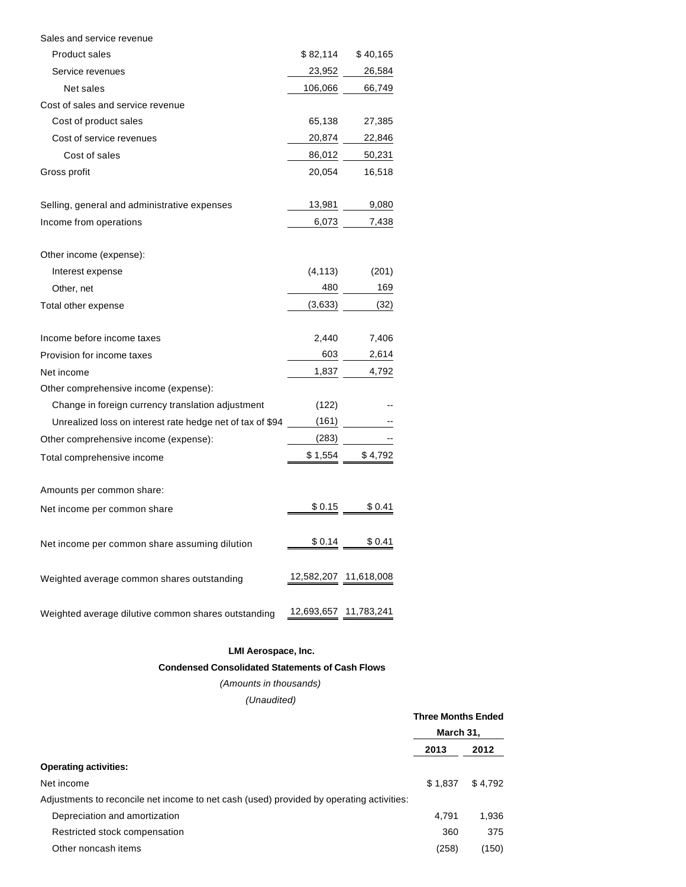| Sales and service revenue                                 |                       |                       |
|-----------------------------------------------------------|-----------------------|-----------------------|
| <b>Product sales</b>                                      | \$82,114              | \$40,165              |
| Service revenues                                          | 23,952                | 26,584                |
| Net sales                                                 | 106,066               | 66,749                |
| Cost of sales and service revenue                         |                       |                       |
| Cost of product sales                                     | 65,138                | 27,385                |
| Cost of service revenues                                  | 20,874                | 22,846                |
| Cost of sales                                             | 86,012                | 50,231                |
| Gross profit                                              | 20,054                | 16,518                |
|                                                           |                       |                       |
| Selling, general and administrative expenses              | 13,981                | 9,080                 |
| Income from operations                                    | 6,073                 | 7,438                 |
|                                                           |                       |                       |
| Other income (expense):                                   |                       |                       |
| Interest expense                                          | (4, 113)              | (201)                 |
| Other, net                                                | 480                   | 169                   |
| Total other expense                                       | (3,633)               | (32)                  |
| Income before income taxes                                | 2,440                 | 7,406                 |
| Provision for income taxes                                | 603                   | 2,614                 |
| Net income                                                | 1,837                 | 4,792                 |
| Other comprehensive income (expense):                     |                       |                       |
| Change in foreign currency translation adjustment         | (122)                 |                       |
| Unrealized loss on interest rate hedge net of tax of \$94 | (161)                 |                       |
| Other comprehensive income (expense):                     | (283)                 |                       |
|                                                           | \$1,554               |                       |
| Total comprehensive income                                |                       | \$4,792               |
| Amounts per common share:                                 |                       |                       |
| Net income per common share                               | \$0.15                | \$ 0.41               |
|                                                           |                       |                       |
| Net income per common share assuming dilution             | \$0.14                | \$0.41                |
|                                                           |                       |                       |
| Weighted average common shares outstanding                |                       | 12,582,207 11,618,008 |
|                                                           |                       |                       |
| Weighted average dilutive common shares outstanding       | 12,693,657 11,783,241 |                       |

# **LMI Aerospace, Inc.**

#### **Condensed Consolidated Statements of Cash Flows**

# (Amounts in thousands)

# (Unaudited)

**Three Months Ended**

|                                                                                          | March 31. |         |
|------------------------------------------------------------------------------------------|-----------|---------|
|                                                                                          | 2013      | 2012    |
| <b>Operating activities:</b>                                                             |           |         |
| Net income                                                                               | \$1.837   | \$4.792 |
| Adjustments to reconcile net income to net cash (used) provided by operating activities: |           |         |
| Depreciation and amortization                                                            | 4.791     | 1.936   |
| Restricted stock compensation                                                            | 360       | 375     |
| Other noncash items                                                                      | (258)     | (150)   |
|                                                                                          |           |         |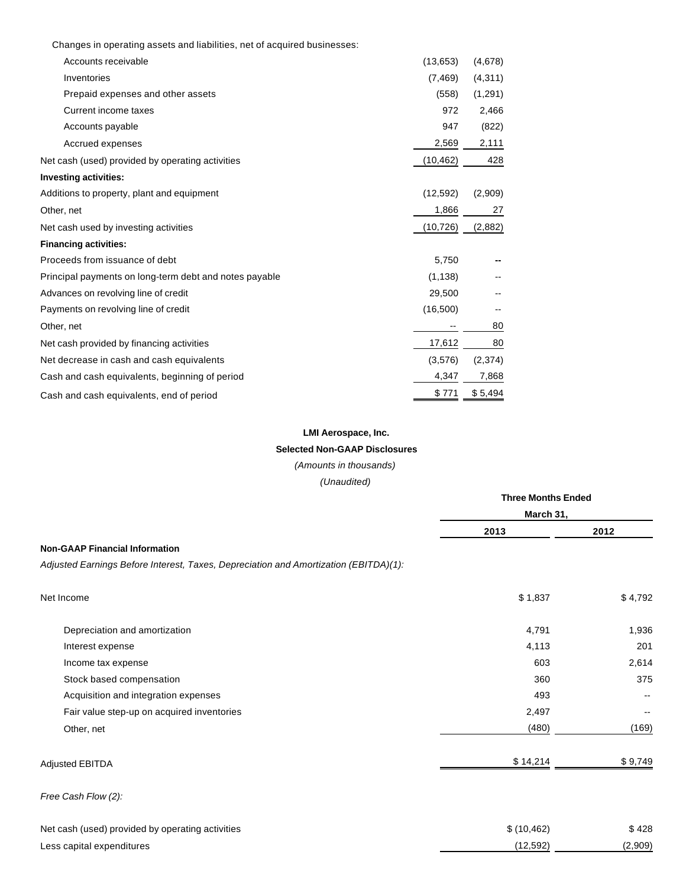|  |  |  | Changes in operating assets and liabilities, net of acquired businesses: |
|--|--|--|--------------------------------------------------------------------------|
|  |  |  |                                                                          |

| Accounts receivable                                    | (13,653)  | (4,678) |
|--------------------------------------------------------|-----------|---------|
| Inventories                                            | (7, 469)  | (4,311) |
| Prepaid expenses and other assets                      | (558)     | (1,291) |
| Current income taxes                                   | 972       | 2,466   |
| Accounts payable                                       | 947       | (822)   |
| Accrued expenses                                       | 2,569     | 2,111   |
| Net cash (used) provided by operating activities       | (10, 462) | 428     |
| <b>Investing activities:</b>                           |           |         |
| Additions to property, plant and equipment             | (12, 592) | (2,909) |
| Other, net                                             | 1,866     | 27      |
| Net cash used by investing activities                  | (10, 726) | (2,882) |
| <b>Financing activities:</b>                           |           |         |
| Proceeds from issuance of debt                         | 5,750     |         |
| Principal payments on long-term debt and notes payable | (1, 138)  |         |
| Advances on revolving line of credit                   | 29,500    |         |
| Payments on revolving line of credit                   | (16,500)  |         |
| Other, net                                             |           | 80      |
| Net cash provided by financing activities              | 17,612    | 80      |
| Net decrease in cash and cash equivalents              | (3,576)   | (2,374) |
| Cash and cash equivalents, beginning of period         | 4,347     | 7,868   |
| Cash and cash equivalents, end of period               | \$771     | \$5,494 |
|                                                        |           |         |

# **LMI Aerospace, Inc.**

# **Selected Non-GAAP Disclosures**

(Amounts in thousands)

(Unaudited)

|                                                                                      | <b>Three Months Ended</b> |         |  |  |
|--------------------------------------------------------------------------------------|---------------------------|---------|--|--|
|                                                                                      | March 31,                 |         |  |  |
|                                                                                      | 2013                      | 2012    |  |  |
| <b>Non-GAAP Financial Information</b>                                                |                           |         |  |  |
| Adjusted Earnings Before Interest, Taxes, Depreciation and Amortization (EBITDA)(1): |                           |         |  |  |
| Net Income                                                                           | \$1,837                   | \$4,792 |  |  |
| Depreciation and amortization                                                        | 4,791                     | 1,936   |  |  |
| Interest expense                                                                     | 4,113                     | 201     |  |  |
| Income tax expense                                                                   | 603                       | 2,614   |  |  |
| Stock based compensation                                                             | 360                       | 375     |  |  |
| Acquisition and integration expenses                                                 | 493                       |         |  |  |
| Fair value step-up on acquired inventories                                           | 2,497                     |         |  |  |
| Other, net                                                                           | (480)                     | (169)   |  |  |
| Adjusted EBITDA                                                                      | \$14,214                  | \$9,749 |  |  |
| Free Cash Flow (2):                                                                  |                           |         |  |  |
| Net cash (used) provided by operating activities                                     | \$(10, 462)               | \$428   |  |  |
| Less capital expenditures                                                            | (12, 592)                 | (2,909) |  |  |